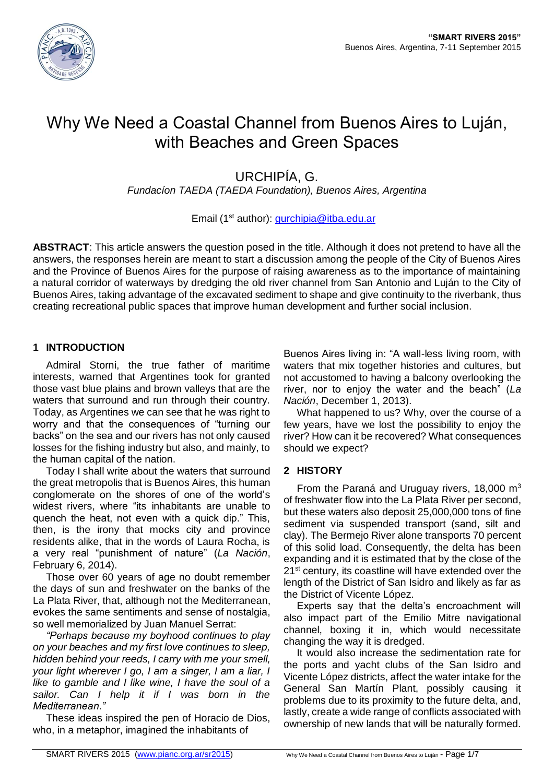

# Why We Need a Coastal Channel from Buenos Aires to Luján, with Beaches and Green Spaces

## URCHIPÍA, G.

*Fundacíon TAEDA (TAEDA Foundation), Buenos Aires, Argentina*

## Email (1st author): [gurchipia@itba.edu.ar](mailto:gurchipia@itba.edu.ar)

**ABSTRACT**: This article answers the question posed in the title. Although it does not pretend to have all the answers, the responses herein are meant to start a discussion among the people of the City of Buenos Aires and the Province of Buenos Aires for the purpose of raising awareness as to the importance of maintaining a natural corridor of waterways by dredging the old river channel from San Antonio and Luján to the City of Buenos Aires, taking advantage of the excavated sediment to shape and give continuity to the riverbank, thus creating recreational public spaces that improve human development and further social inclusion.

## **1 INTRODUCTION**

Admiral Storni, the true father of maritime interests, warned that Argentines took for granted those vast blue plains and brown valleys that are the waters that surround and run through their country. Today, as Argentines we can see that he was right to worry and that the consequences of "turning our backs" on the sea and our rivers has not only caused losses for the fishing industry but also, and mainly, to the human capital of the nation.

Today I shall write about the waters that surround the great metropolis that is Buenos Aires, this human conglomerate on the shores of one of the world's widest rivers, where "its inhabitants are unable to quench the heat, not even with a quick dip." This, then, is the irony that mocks city and province residents alike, that in the words of Laura Rocha, is a very real "punishment of nature" (*La Nación*, February 6, 2014).

Those over 60 years of age no doubt remember the days of sun and freshwater on the banks of the La Plata River, that, although not the Mediterranean, evokes the same sentiments and sense of nostalgia, so well memorialized by Juan Manuel Serrat:

*"Perhaps because my boyhood continues to play on your beaches and my first love continues to sleep, hidden behind your reeds, I carry with me your smell, your light wherever I go, I am a singer, I am a liar, I like to gamble and I like wine, I have the soul of a sailor. Can I help it if I was born in the Mediterranean."*

These ideas inspired the pen of Horacio de Dios, who, in a metaphor, imagined the inhabitants of

Buenos Aires living in: "A wall-less living room, with waters that mix together histories and cultures, but not accustomed to having a balcony overlooking the river, nor to enjoy the water and the beach" (*La Nación*, December 1, 2013).

What happened to us? Why, over the course of a few years, have we lost the possibility to enjoy the river? How can it be recovered? What consequences should we expect?

## **2 HISTORY**

From the Paraná and Uruguay rivers, 18,000  $m<sup>3</sup>$ of freshwater flow into the La Plata River per second, but these waters also deposit 25,000,000 tons of fine sediment via suspended transport (sand, silt and clay). The Bermejo River alone transports 70 percent of this solid load. Consequently, the delta has been expanding and it is estimated that by the close of the 21<sup>st</sup> century, its coastline will have extended over the length of the District of San Isidro and likely as far as the District of Vicente López.

Experts say that the delta's encroachment will also impact part of the Emilio Mitre navigational channel, boxing it in, which would necessitate changing the way it is dredged.

It would also increase the sedimentation rate for the ports and yacht clubs of the San Isidro and Vicente López districts, affect the water intake for the General San Martín Plant, possibly causing it problems due to its proximity to the future delta, and, lastly, create a wide range of conflicts associated with ownership of new lands that will be naturally formed.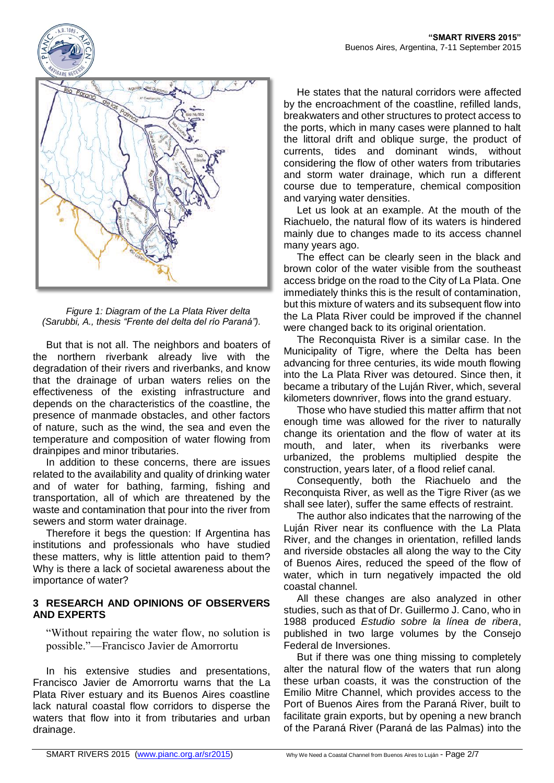

*Figure 1: Diagram of the La Plata River delta (Sarubbi, A., thesis "Frente del delta del río Paraná").*

But that is not all. The neighbors and boaters of the northern riverbank already live with the degradation of their rivers and riverbanks, and know that the drainage of urban waters relies on the effectiveness of the existing infrastructure and depends on the characteristics of the coastline, the presence of manmade obstacles, and other factors of nature, such as the wind, the sea and even the temperature and composition of water flowing from drainpipes and minor tributaries.

In addition to these concerns, there are issues related to the availability and quality of drinking water and of water for bathing, farming, fishing and transportation, all of which are threatened by the waste and contamination that pour into the river from sewers and storm water drainage.

Therefore it begs the question: If Argentina has institutions and professionals who have studied these matters, why is little attention paid to them? Why is there a lack of societal awareness about the importance of water?

#### **3 RESEARCH AND OPINIONS OF OBSERVERS AND EXPERTS**

"Without repairing the water flow, no solution is possible."—Francisco Javier de Amorrortu

In his extensive studies and presentations, Francisco Javier de Amorrortu warns that the La Plata River estuary and its Buenos Aires coastline lack natural coastal flow corridors to disperse the waters that flow into it from tributaries and urban drainage.

He states that the natural corridors were affected by the encroachment of the coastline, refilled lands, breakwaters and other structures to protect access to the ports, which in many cases were planned to halt the littoral drift and oblique surge, the product of currents, tides and dominant winds, without considering the flow of other waters from tributaries and storm water drainage, which run a different course due to temperature, chemical composition and varying water densities.

Let us look at an example. At the mouth of the Riachuelo, the natural flow of its waters is hindered mainly due to changes made to its access channel many years ago.

The effect can be clearly seen in the black and brown color of the water visible from the southeast access bridge on the road to the City of La Plata. One immediately thinks this is the result of contamination, but this mixture of waters and its subsequent flow into the La Plata River could be improved if the channel were changed back to its original orientation.

The Reconquista River is a similar case. In the Municipality of Tigre, where the Delta has been advancing for three centuries, its wide mouth flowing into the La Plata River was detoured. Since then, it became a tributary of the Luján River, which, several kilometers downriver, flows into the grand estuary.

Those who have studied this matter affirm that not enough time was allowed for the river to naturally change its orientation and the flow of water at its mouth, and later, when its riverbanks were urbanized, the problems multiplied despite the construction, years later, of a flood relief canal.

Consequently, both the Riachuelo and the Reconquista River, as well as the Tigre River (as we shall see later), suffer the same effects of restraint.

The author also indicates that the narrowing of the Luján River near its confluence with the La Plata River, and the changes in orientation, refilled lands and riverside obstacles all along the way to the City of Buenos Aires, reduced the speed of the flow of water, which in turn negatively impacted the old coastal channel.

All these changes are also analyzed in other studies, such as that of Dr. Guillermo J. Cano, who in 1988 produced *Estudio sobre la línea de ribera*, published in two large volumes by the Consejo Federal de Inversiones.

But if there was one thing missing to completely alter the natural flow of the waters that run along these urban coasts, it was the construction of the Emilio Mitre Channel, which provides access to the Port of Buenos Aires from the Paraná River, built to facilitate grain exports, but by opening a new branch of the Paraná River (Paraná de las Palmas) into the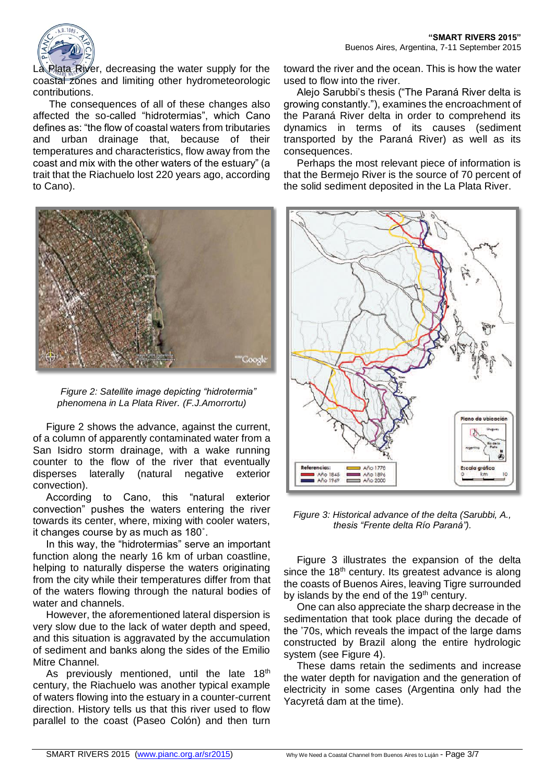

La Plata River, decreasing the water supply for the coastal zones and limiting other hydrometeorologic contributions.

The consequences of all of these changes also affected the so-called "hidrotermias", which Cano defines as: "the flow of coastal waters from tributaries and urban drainage that, because of their temperatures and characteristics, flow away from the coast and mix with the other waters of the estuary" (a trait that the Riachuelo lost 220 years ago, according to Cano).



*Figure 2: Satellite image depicting "hidrotermia" phenomena in La Plata River. (F.J.Amorrortu)*

Figure 2 shows the advance, against the current, of a column of apparently contaminated water from a San Isidro storm drainage, with a wake running counter to the flow of the river that eventually disperses laterally (natural negative exterior convection).

According to Cano, this "natural exterior convection" pushes the waters entering the river towards its center, where, mixing with cooler waters, it changes course by as much as 180˚.

In this way, the "hidrotermias" serve an important function along the nearly 16 km of urban coastline, helping to naturally disperse the waters originating from the city while their temperatures differ from that of the waters flowing through the natural bodies of water and channels.

However, the aforementioned lateral dispersion is very slow due to the lack of water depth and speed, and this situation is aggravated by the accumulation of sediment and banks along the sides of the Emilio Mitre Channel.

As previously mentioned, until the late  $18<sup>th</sup>$ century, the Riachuelo was another typical example of waters flowing into the estuary in a counter-current direction. History tells us that this river used to flow parallel to the coast (Paseo Colón) and then turn

toward the river and the ocean. This is how the water used to flow into the river.

Alejo Sarubbi's thesis ("The Paraná River delta is growing constantly."), examines the encroachment of the Paraná River delta in order to comprehend its dynamics in terms of its causes (sediment transported by the Paraná River) as well as its consequences.

Perhaps the most relevant piece of information is that the Bermejo River is the source of 70 percent of the solid sediment deposited in the La Plata River.



*Figure 3: Historical advance of the delta (Sarubbi, A., thesis "Frente delta Río Paraná").*

Figure 3 illustrates the expansion of the delta since the  $18<sup>th</sup>$  century. Its greatest advance is along the coasts of Buenos Aires, leaving Tigre surrounded by islands by the end of the 19<sup>th</sup> century.

One can also appreciate the sharp decrease in the sedimentation that took place during the decade of the '70s, which reveals the impact of the large dams constructed by Brazil along the entire hydrologic system (see Figure 4).

These dams retain the sediments and increase the water depth for navigation and the generation of electricity in some cases (Argentina only had the Yacyretá dam at the time).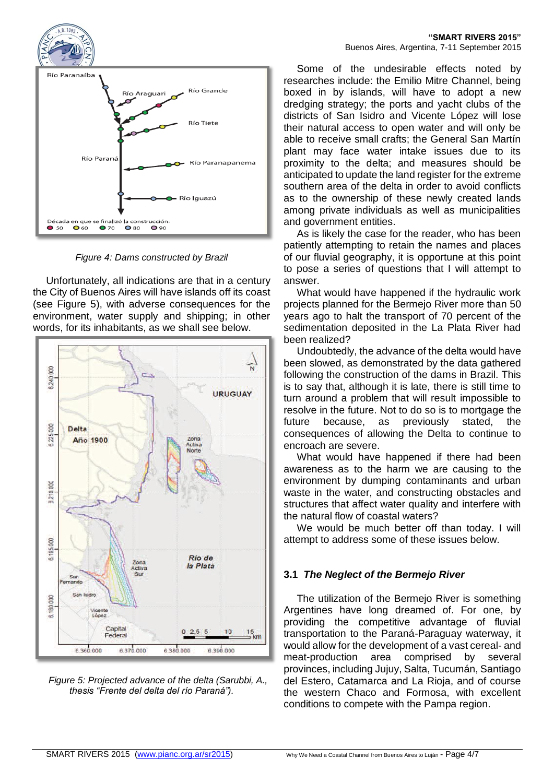

*Figure 4: Dams constructed by Brazil*

Unfortunately, all indications are that in a century the City of Buenos Aires will have islands off its coast (see Figure 5), with adverse consequences for the environment, water supply and shipping; in other words, for its inhabitants, as we shall see below.



*Figure 5: Projected advance of the delta (Sarubbi, A., thesis "Frente del delta del río Paraná").*

Some of the undesirable effects noted by researches include: the Emilio Mitre Channel, being boxed in by islands, will have to adopt a new dredging strategy; the ports and yacht clubs of the districts of San Isidro and Vicente López will lose their natural access to open water and will only be able to receive small crafts; the General San Martín plant may face water intake issues due to its proximity to the delta; and measures should be anticipated to update the land register for the extreme southern area of the delta in order to avoid conflicts as to the ownership of these newly created lands among private individuals as well as municipalities and government entities.

As is likely the case for the reader, who has been patiently attempting to retain the names and places of our fluvial geography, it is opportune at this point to pose a series of questions that I will attempt to answer.

What would have happened if the hydraulic work projects planned for the Bermejo River more than 50 years ago to halt the transport of 70 percent of the sedimentation deposited in the La Plata River had been realized?

Undoubtedly, the advance of the delta would have been slowed, as demonstrated by the data gathered following the construction of the dams in Brazil. This is to say that, although it is late, there is still time to turn around a problem that will result impossible to resolve in the future. Not to do so is to mortgage the future because, as previously stated, the consequences of allowing the Delta to continue to encroach are severe.

What would have happened if there had been awareness as to the harm we are causing to the environment by dumping contaminants and urban waste in the water, and constructing obstacles and structures that affect water quality and interfere with the natural flow of coastal waters?

We would be much better off than today. I will attempt to address some of these issues below.

## **3.1** *The Neglect of the Bermejo River*

The utilization of the Bermejo River is something Argentines have long dreamed of. For one, by providing the competitive advantage of fluvial transportation to the Paraná-Paraguay waterway, it would allow for the development of a vast cereal- and meat-production area comprised by several provinces, including Jujuy, Salta, Tucumán, Santiago del Estero, Catamarca and La Rioja, and of course the western Chaco and Formosa, with excellent conditions to compete with the Pampa region.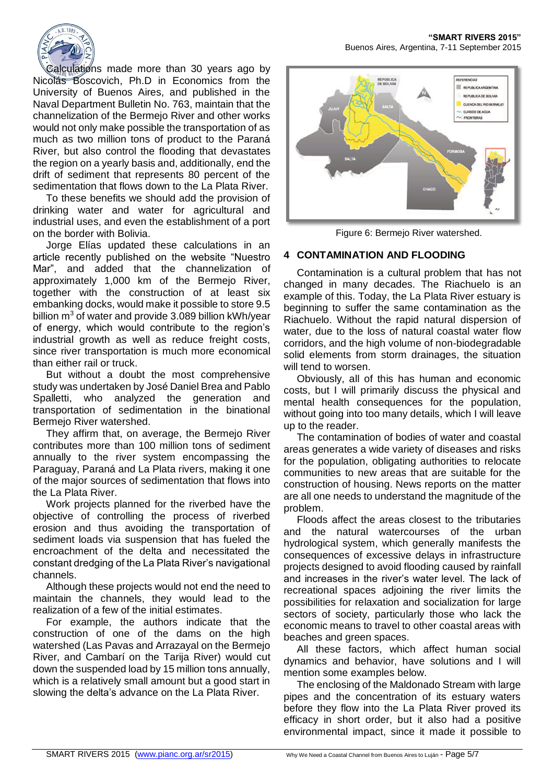

Calculations made more than 30 years ago by Nicolás Boscovich, Ph.D in Economics from the University of Buenos Aires, and published in the Naval Department Bulletin No. 763, maintain that the channelization of the Bermejo River and other works would not only make possible the transportation of as much as two million tons of product to the Paraná River, but also control the flooding that devastates the region on a yearly basis and, additionally, end the drift of sediment that represents 80 percent of the sedimentation that flows down to the La Plata River.

To these benefits we should add the provision of drinking water and water for agricultural and industrial uses, and even the establishment of a port on the border with Bolivia.

Jorge Elías updated these calculations in an article recently published on the website "Nuestro Mar", and added that the channelization of approximately 1,000 km of the Bermejo River, together with the construction of at least six embanking docks, would make it possible to store 9.5 billion  $m<sup>3</sup>$  of water and provide 3.089 billion kWh/year of energy, which would contribute to the region's industrial growth as well as reduce freight costs, since river transportation is much more economical than either rail or truck.

But without a doubt the most comprehensive study was undertaken by José Daniel Brea and Pablo Spalletti, who analyzed the generation and transportation of sedimentation in the binational Bermejo River watershed.

They affirm that, on average, the Bermejo River contributes more than 100 million tons of sediment annually to the river system encompassing the Paraguay, Paraná and La Plata rivers, making it one of the major sources of sedimentation that flows into the La Plata River.

Work projects planned for the riverbed have the objective of controlling the process of riverbed erosion and thus avoiding the transportation of sediment loads via suspension that has fueled the encroachment of the delta and necessitated the constant dredging of the La Plata River's navigational channels.

Although these projects would not end the need to maintain the channels, they would lead to the realization of a few of the initial estimates.

For example, the authors indicate that the construction of one of the dams on the high watershed (Las Pavas and Arrazayal on the Bermejo River, and Cambarí on the Tarija River) would cut down the suspended load by 15 million tons annually, which is a relatively small amount but a good start in slowing the delta's advance on the La Plata River.

**"SMART RIVERS 2015"** Buenos Aires, Argentina, 7-11 September 2015



Figure 6: Bermejo River watershed.

## **4 CONTAMINATION AND FLOODING**

Contamination is a cultural problem that has not changed in many decades. The Riachuelo is an example of this. Today, the La Plata River estuary is beginning to suffer the same contamination as the Riachuelo. Without the rapid natural dispersion of water, due to the loss of natural coastal water flow corridors, and the high volume of non-biodegradable solid elements from storm drainages, the situation will tend to worsen.

Obviously, all of this has human and economic costs, but I will primarily discuss the physical and mental health consequences for the population, without going into too many details, which I will leave up to the reader.

The contamination of bodies of water and coastal areas generates a wide variety of diseases and risks for the population, obligating authorities to relocate communities to new areas that are suitable for the construction of housing. News reports on the matter are all one needs to understand the magnitude of the problem.

Floods affect the areas closest to the tributaries and the natural watercourses of the urban hydrological system, which generally manifests the consequences of excessive delays in infrastructure projects designed to avoid flooding caused by rainfall and increases in the river's water level. The lack of recreational spaces adjoining the river limits the possibilities for relaxation and socialization for large sectors of society, particularly those who lack the economic means to travel to other coastal areas with beaches and green spaces.

All these factors, which affect human social dynamics and behavior, have solutions and I will mention some examples below.

The enclosing of the Maldonado Stream with large pipes and the concentration of its estuary waters before they flow into the La Plata River proved its efficacy in short order, but it also had a positive environmental impact, since it made it possible to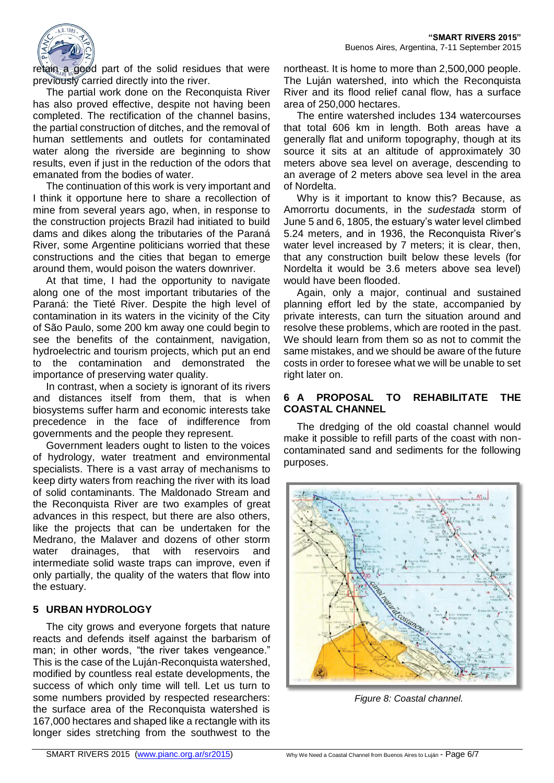

retain a good part of the solid residues that were previously carried directly into the river.

The partial work done on the Reconquista River has also proved effective, despite not having been completed. The rectification of the channel basins, the partial construction of ditches, and the removal of human settlements and outlets for contaminated water along the riverside are beginning to show results, even if just in the reduction of the odors that emanated from the bodies of water.

The continuation of this work is very important and I think it opportune here to share a recollection of mine from several years ago, when, in response to the construction projects Brazil had initiated to build dams and dikes along the tributaries of the Paraná River, some Argentine politicians worried that these constructions and the cities that began to emerge around them, would poison the waters downriver.

At that time, I had the opportunity to navigate along one of the most important tributaries of the Paraná: the Tieté River. Despite the high level of contamination in its waters in the vicinity of the City of São Paulo, some 200 km away one could begin to see the benefits of the containment, navigation, hydroelectric and tourism projects, which put an end to the contamination and demonstrated the importance of preserving water quality.

In contrast, when a society is ignorant of its rivers and distances itself from them, that is when biosystems suffer harm and economic interests take precedence in the face of indifference from governments and the people they represent.

Government leaders ought to listen to the voices of hydrology, water treatment and environmental specialists. There is a vast array of mechanisms to keep dirty waters from reaching the river with its load of solid contaminants. The Maldonado Stream and the Reconquista River are two examples of great advances in this respect, but there are also others, like the projects that can be undertaken for the Medrano, the Malaver and dozens of other storm water drainages, that with reservoirs and intermediate solid waste traps can improve, even if only partially, the quality of the waters that flow into the estuary.

## **5 URBAN HYDROLOGY**

The city grows and everyone forgets that nature reacts and defends itself against the barbarism of man; in other words, "the river takes vengeance." This is the case of the Luján-Reconquista watershed, modified by countless real estate developments, the success of which only time will tell. Let us turn to some numbers provided by respected researchers: the surface area of the Reconquista watershed is 167,000 hectares and shaped like a rectangle with its longer sides stretching from the southwest to the

northeast. It is home to more than 2,500,000 people. The Luján watershed, into which the Reconquista River and its flood relief canal flow, has a surface area of 250,000 hectares.

The entire watershed includes 134 watercourses that total 606 km in length. Both areas have a generally flat and uniform topography, though at its source it sits at an altitude of approximately 30 meters above sea level on average, descending to an average of 2 meters above sea level in the area of Nordelta.

Why is it important to know this? Because, as Amorrortu documents, in the *sudestada* storm of June 5 and 6, 1805, the estuary's water level climbed 5.24 meters, and in 1936, the Reconquista River's water level increased by 7 meters; it is clear, then, that any construction built below these levels (for Nordelta it would be 3.6 meters above sea level) would have been flooded.

Again, only a major, continual and sustained planning effort led by the state, accompanied by private interests, can turn the situation around and resolve these problems, which are rooted in the past. We should learn from them so as not to commit the same mistakes, and we should be aware of the future costs in order to foresee what we will be unable to set right later on.

## **6 A PROPOSAL TO REHABILITATE THE COASTAL CHANNEL**

The dredging of the old coastal channel would make it possible to refill parts of the coast with noncontaminated sand and sediments for the following purposes.



*Figure 8: Coastal channel.*